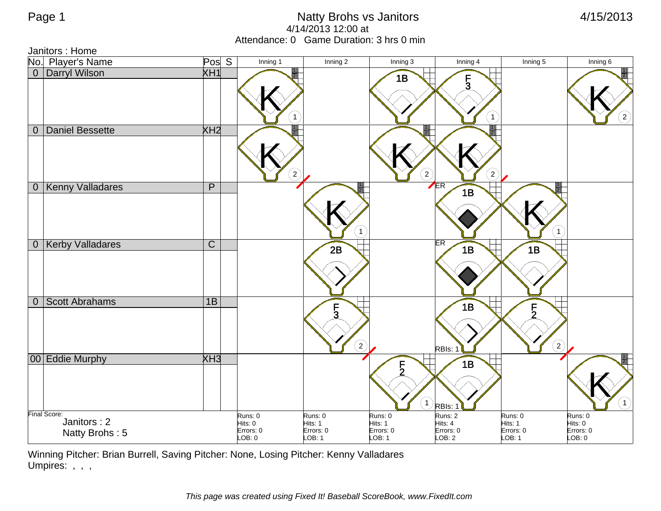Janitors : Home

|           | No. Player's Name<br>0 Darryl Wilson          | Pos <sub>S</sub>        |                                           | Inning 1       | Inning 2                                       | Inning 3                                  | Inning 4                                  | Inning 5                                                         | Inning 6                                  |
|-----------|-----------------------------------------------|-------------------------|-------------------------------------------|----------------|------------------------------------------------|-------------------------------------------|-------------------------------------------|------------------------------------------------------------------|-------------------------------------------|
|           |                                               | XH1                     |                                           |                |                                                | 1B                                        | $\frac{F}{3}$<br>$\mathbf{1}$             |                                                                  | $\binom{2}{ }$                            |
| $\pmb{0}$ | Daniel Bessette                               | XH <sub>2</sub>         |                                           | $\overline{c}$ |                                                | $\binom{2}{ }$                            | $\left( 2\right)$                         |                                                                  |                                           |
|           | 0 Kenny Valladares                            | $\mathsf{P}$            |                                           |                | $\mathbf{1}$                                   |                                           | ER<br>1B                                  | $\mathbf{1}$                                                     |                                           |
|           | 0 Kerby Valladares                            | $\overline{\mathsf{C}}$ |                                           |                | 2B                                             |                                           | <b>ER</b><br>1B                           | 1B                                                               |                                           |
|           | 0 Scott Abrahams                              | 1B                      |                                           |                | $\overline{5}$<br>$\left( \frac{2}{3} \right)$ |                                           | 1B<br>RBIs: 1                             | $\overline{5}$<br>$\left( \begin{matrix} 2 \end{matrix} \right)$ |                                           |
|           | 00 Eddie Murphy                               | XH3                     |                                           |                |                                                | $\frac{5}{2}$<br>$\mathbf{1}$             | 1B<br>RBIs:                               |                                                                  | (1)                                       |
|           | Final Score:<br>Janitors: 2<br>Natty Brohs: 5 |                         | Runs: 0<br>Hits: 0<br>Errors: 0<br>LOB: 0 |                | Runs: 0<br>Hits: 1<br>Errors: 0<br>LOB: 1      | Runs: 0<br>Hits: 1<br>Errors: 0<br>LOB: 1 | Runs: 2<br>Hits: 4<br>Errors: 0<br>LOB: 2 | Runs: 0<br>Hits: 1<br>Errors: 0<br>LOB: 1                        | Runs: 0<br>Hits: 0<br>Errors: 0<br>LOB: 0 |

Winning Pitcher: Brian Burrell, Saving Pitcher: None, Losing Pitcher: Kenny Valladares Umpires: , , ,